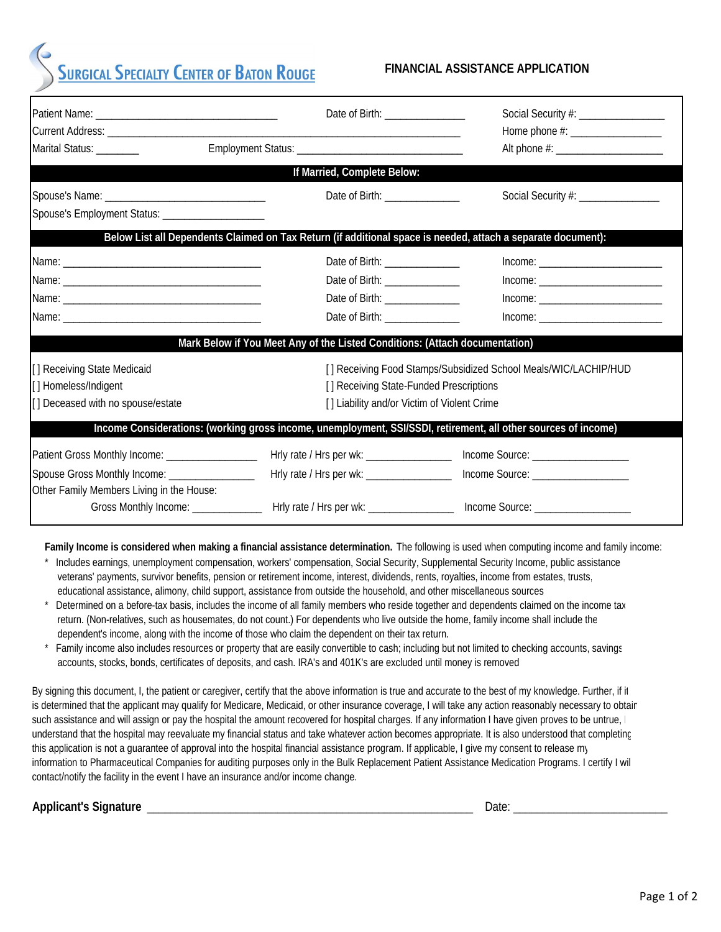# **SURGICAL SPECIALTY CENTER OF BATON ROUGE**

#### **FINANCIAL ASSISTANCE APPLICATION**

| Marital Status: ________                                                                    | Date of Birth: ________________                                                                                |                                                                 |
|---------------------------------------------------------------------------------------------|----------------------------------------------------------------------------------------------------------------|-----------------------------------------------------------------|
|                                                                                             | If Married, Complete Below:                                                                                    |                                                                 |
| Spouse's Employment Status: _______________________                                         | Date of Birth: _______________                                                                                 | Social Security #: _________________                            |
|                                                                                             | Below List all Dependents Claimed on Tax Return (if additional space is needed, attach a separate document):   |                                                                 |
|                                                                                             | Date of Birth: _______________                                                                                 |                                                                 |
|                                                                                             | Date of Birth: _______________                                                                                 | $Income: ____________$                                          |
|                                                                                             | Date of Birth: _______________                                                                                 |                                                                 |
|                                                                                             | Date of Birth: ________________                                                                                |                                                                 |
|                                                                                             | Mark Below if You Meet Any of the Listed Conditions: (Attach documentation)                                    |                                                                 |
| [] Receiving State Medicaid<br>[] Homeless/Indigent<br>[] Deceased with no spouse/estate    | [] Receiving State-Funded Prescriptions<br>[] Liability and/or Victim of Violent Crime                         | [] Receiving Food Stamps/Subsidized School Meals/WIC/LACHIP/HUD |
|                                                                                             | Income Considerations: (working gross income, unemployment, SSI/SSDI, retirement, all other sources of income) |                                                                 |
| Patient Gross Monthly Income: ____________________                                          | Hrly rate / Hrs per wk: ____________________                                                                   | Income Source: _____________________                            |
| Spouse Gross Monthly Income: _________________<br>Other Family Members Living in the House: | Hrly rate / Hrs per wk: __________________                                                                     |                                                                 |
|                                                                                             |                                                                                                                |                                                                 |

**Family Income is considered when making a financial assistance determination.** The following is used when computing income and family income:

- Includes earnings, unemployment compensation, workers' compensation, Social Security, Supplemental Security Income, public assistance veterans' payments, survivor benefits, pension or retirement income, interest, dividends, rents, royalties, income from estates, trusts, educational assistance, alimony, child support, assistance from outside the household, and other miscellaneous sources
- Determined on a before-tax basis, includes the income of all family members who reside together and dependents claimed on the income tax return. (Non-relatives, such as housemates, do not count.) For dependents who live outside the home, family income shall include the dependent's income, along with the income of those who claim the dependent on their tax return.
- Family income also includes resources or property that are easily convertible to cash; including but not limited to checking accounts, savings accounts, stocks, bonds, certificates of deposits, and cash. IRA's and 401K's are excluded until money is removed

By signing this document, I, the patient or caregiver, certify that the above information is true and accurate to the best of my knowledge. Further, if it is determined that the applicant may qualify for Medicare, Medicaid, or other insurance coverage, I will take any action reasonably necessary to obtain such assistance and will assign or pay the hospital the amount recovered for hospital charges. If any information I have given proves to be untrue, I understand that the hospital may reevaluate my financial status and take whatever action becomes appropriate. It is also understood that completing this application is not a guarantee of approval into the hospital financial assistance program. If applicable, I give my consent to release my information to Pharmaceutical Companies for auditing purposes only in the Bulk Replacement Patient Assistance Medication Programs. I certify I wil contact/notify the facility in the event I have an insurance and/or income change.

| <b>Applicant's Signature</b> |
|------------------------------|
|------------------------------|

**Date:**  $\blacksquare$